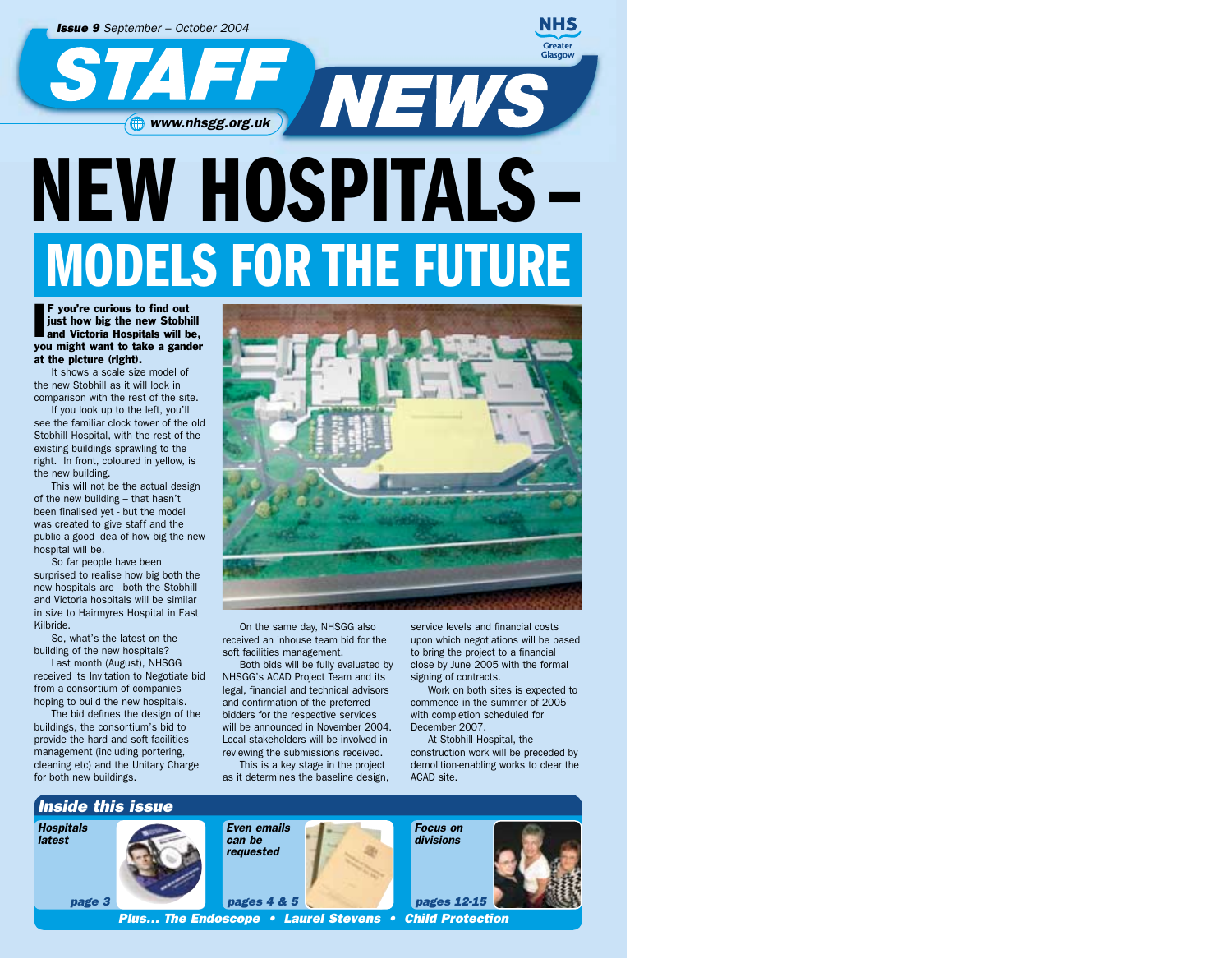

# **NEW HOSPITALS– MODELS FOR THE FUTURE**

**F** you're curious to find out<br>just how big the new Stobhill<br>and Victoria Hospitals will be,<br>you might want to take a gander F you're curious to find out just how big the new Stobhill you might want to take a gander at the picture (right).

It shows a scale size model of the new Stobhill as it will look in comparison with the rest of the site.

If you look up to the left, you'll see the familiar clock tower of the old Stobhill Hospital, with the rest of the existing buildings sprawling to the right. In front, coloured in yellow, is the new building.

This will not be the actual design of the new building – that hasn't been finalised yet - but the model was created to give staff and the public a good idea of how big the new hospital will be.

So far people have been surprised to realise how big both the new hospitals are - both the Stobhill and Victoria hospitals will be similar in size to Hairmyres Hospital in East Kilbride.

So, what's the latest on the building of the new hospitals? Last month (August), NHSGG

received its Invitation to Negotiate bid from a consortium of companies hoping to build the new hospitals.

The bid defines the design of the buildings, the consortium's bid to provide the hard and soft facilities management (including portering, cleaning etc) and the Unitary Charge for both new buildings.



On the same day, NHSGG also received an inhouse team bid for the soft facilities management.

Both bids will be fully evaluated by NHSGG's ACAD Project Team and its legal, financial and technical advisors and confirmation of the preferred bidders for the respective services will be announced in November 2004. Local stakeholders will be involved in reviewing the submissions received.

This is a key stage in the project as it determines the baseline design,

service levels and financial costs upon which negotiations will be based to bring the project to a financial close by June 2005 with the formal signing of contracts.

Work on both sites is expected to commence in the summer of 2005 with completion scheduled for December 2007.

At Stobhill Hospital, the construction work will be preceded by demolition-enabling works to clear the ACAD site.

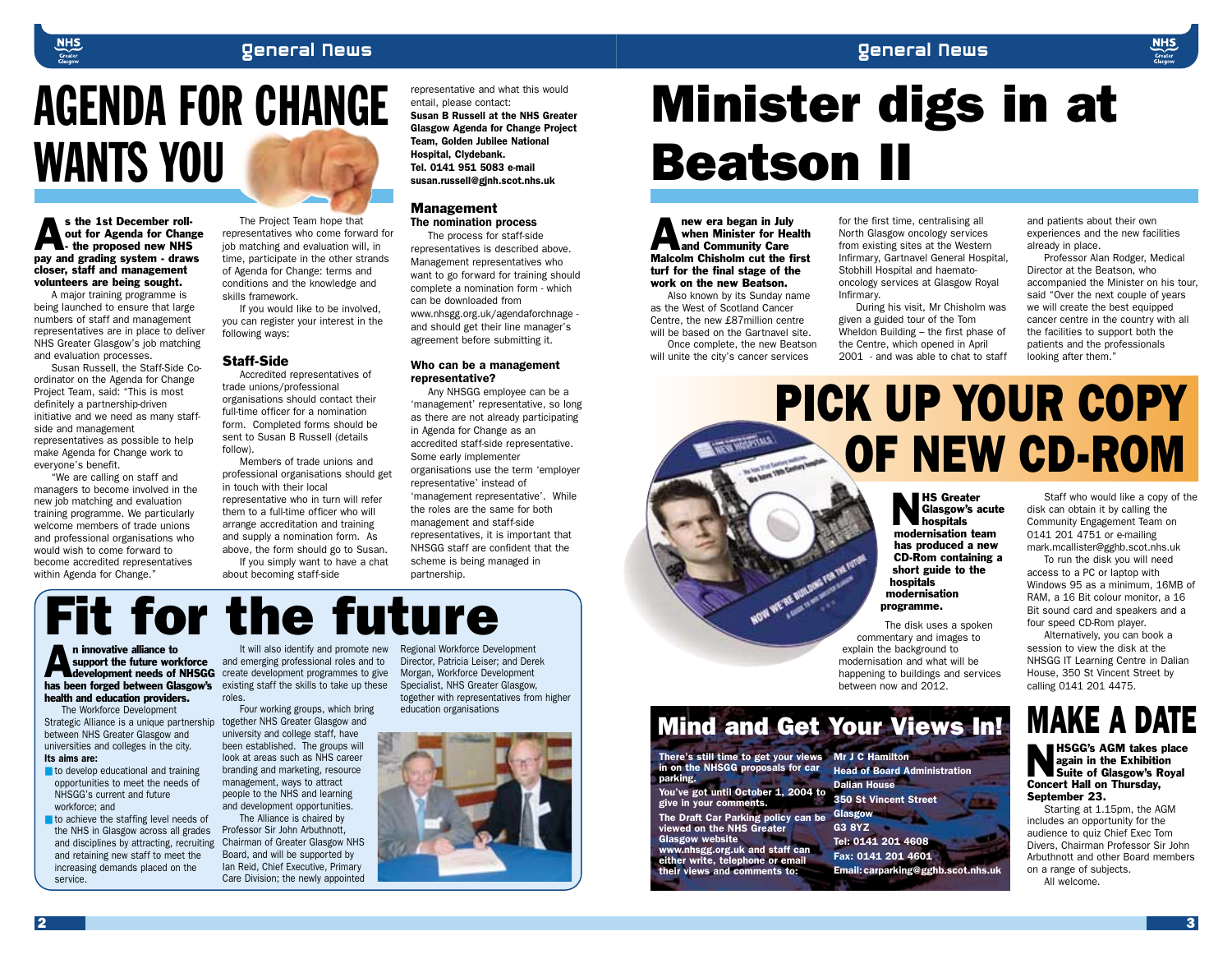

s the 1st December roll-<br>
out for Agenda for Chang<br>
- the proposed new NHS<br>
nay and grading system - draw out for Agenda for Change pay and grading system - draws closer, staff and management volunteers are being sought.

A major training programme is being launched to ensure that large numbers of staff and management representatives are in place to deliver NHS Greater Glasgow's job matching and evaluation processes.

Susan Russell, the Staff-Side Coordinator on the Agenda for Change Project Team, said: "This is most definitely a partnership-driven initiative and we need as many staffside and management representatives as possible to help make Agenda for Change work to everyone's benefit.

"We are calling on staff and managers to become involved in the new job matching and evaluation training programme. We particularly welcome members of trade unions and professional organisations who would wish to come forward to become accredited representatives within Agenda for Change."

The Project Team hope that representatives who come forward for job matching and evaluation will, in time, participate in the other strands of Agenda for Change: terms and conditions and the knowledge and skills framework.

If you would like to be involved, you can register your interest in the following ways:

#### Staff-Side

Accredited representatives of trade unions/professional organisations should contact their full-time officer for a nomination form. Completed forms should be sent to Susan B Russell (details follow).

Members of trade unions and professional organisations should get in touch with their local representative who in turn will refer them to a full-time officer who will arrange accreditation and training and supply a nomination form. As above, the form should go to Susan. If you simply want to have a chat

about becoming staff-side

representative and what this would entail, please contact:

*Susan B Russell at the NHS Greater Glasgow Agenda for Change Project Team, Golden Jubilee National Hospital, Clydebank. Tel. 0141 951 5083 e-mail susan.russell@gjnh.scot.nhs.uk*

#### Management

The nomination process

The process for staff-side representatives is described above. Management representatives who want to go forward for training should complete a nomination form - which can be downloaded from www.nhsgg.org.uk/agendaforchnage and should get their line manager's agreement before submitting it.

#### *Who can be a management representative?*

Any NHSGG employee can be a 'management' representative, so long as there are not already participating in Agenda for Change as an accredited staff-side representative. Some early implementer organisations use the term 'employer representative' instead of 'management representative'. While the roles are the same for both management and staff-side representatives, it is important that NHSGG staff are confident that the scheme is being managed in partnership.

# Minister digs in at Beatson II

new era began in July<br>when Minister for Head<br>and Community Care<br>Malcolm Chisholm cut the f when Minister for Health and Community Care Malcolm Chisholm cut the first turf for the final stage of the work on the new Beatson.

Also known by its Sunday name as the West of Scotland Cancer Centre, the new £87million centre will be based on the Gartnavel site.

Once complete, the new Beatson will unite the city's cancer services

*There's still time to get your views in on the NHSGG proposals for car*

*You've got until October 1, 2004 to*

*The Draft Car Parking policy can be viewed on the NHS Greater*

*www.nhsgg.org.uk and staff can either write, telephone or email their views and comments to:*

*give in your comments.* 

*Glasgow website*

*parking.* 

for the first time, centralising all North Glasgow oncology services from existing sites at the Western Infirmary, Gartnavel General Hospital, Stobhill Hospital and haematooncology services at Glasgow Royal Infirmary.

During his visit, Mr Chisholm was given a guided tour of the Tom Wheldon Building – the first phase of the Centre, which opened in April 2001 - and was able to chat to staff and patients about their own experiences and the new facilities already in place.

Professor Alan Rodger, Medical Director at the Beatson, who accompanied the Minister on his tour, said "Over the next couple of years we will create the best equipped cancer centre in the country with all the facilities to support both the patients and the professionals looking after them."

# PICK UP YOUR COPY OF NEW CD-ROM

**NS Greater<br>Glasgow's a<br>modernisation to<br>modernisation to** Glasgow's acute hospitals modernisation team has produced a new CD-Rom containing a short guide to the hospitals modernisation programme.

The disk uses a spoken commentary and images to explain the background to modernisation and what will be happening to buildings and services between now and 2012.

Mind and Get Your Views In!

*Mr J C Hamilton*

*Dalian House*

*Glasgow G3 8YZ*

*Head of Board Administration*

*Email:carparking@gghb.scot.nhs.uk*

*350 St Vincent Street*

*Tel: 0141 201 4608 Fax: 0141 201 4601*

Staff who would like a copy of the disk can obtain it by calling the Community Engagement Team on 0141 201 4751 or e-mailing mark.mcallister@gghb.scot.nhs.uk

To run the disk you will need access to a PC or laptop with Windows 95 as a minimum, 16MB of RAM, a 16 Bit colour monitor, a 16 Bit sound card and speakers and a four speed CD-Rom player.

Alternatively, you can book a session to view the disk at the NHSGG IT Learning Centre in Dalian House, 350 St Vincent Street by calling 0141 201 4475.

# **MAKE A DATE**

HSGG's AGM takes place<br>again in the Exhibition<br>Suite of Glasgow's Royal<br>Concert Hall on Thursday again in the Exhibition Suite of Glasgow's Royal Concert Hall on Thursday, September 23.

Starting at 1.15pm, the AGM includes an opportunity for the audience to quiz Chief Exec Tom Divers, Chairman Professor Sir John Arbuthnott and other Board members on a range of subjects.

All welcome.

n innovative alliance to<br>support the future work<br>development needs of<br>has been forged between Gla support the future workforce development needs of NHSGG has been forged between Glasgow's existing staff the skills to take up these health and education providers. It will also identify and promote new Regional Workforce Development and emerging professional roles and to create development programmes to give roles. Fit for the future

opportunities to meet the needs of ■ to achieve the staffing level needs of Four working groups, which bring together NHS Greater Glasgow and university and college staff, have been established. The groups will look at areas such as NHS career branding and marketing, resource management, ways to attract people to the NHS and learning and development opportunities.

the NHS in Glasgow across all grades and disciplines by attracting, recruiting The Alliance is chaired by Professor Sir John Arbuthnott, Chairman of Greater Glasgow NHS Board, and will be supported by Ian Reid, Chief Executive, Primary Care Division; the newly appointed

Director, Patricia Leiser; and Derek Morgan, Workforce Development Specialist, NHS Greater Glasgow, together with representatives from higher education organisations





2 and  $\sim$  3 and  $\sim$  3 and  $\sim$  3 and  $\sim$  3 and  $\sim$  3 and  $\sim$  3 and  $\sim$  3

The Workforce Development Strategic Alliance is a unique partnership between NHS Greater Glasgow and universities and colleges in the city. *Its aims are:*

■ to develop educational and training

and retaining new staff to meet the increasing demands placed on the

NHSGG's current and future

workforce; and

service.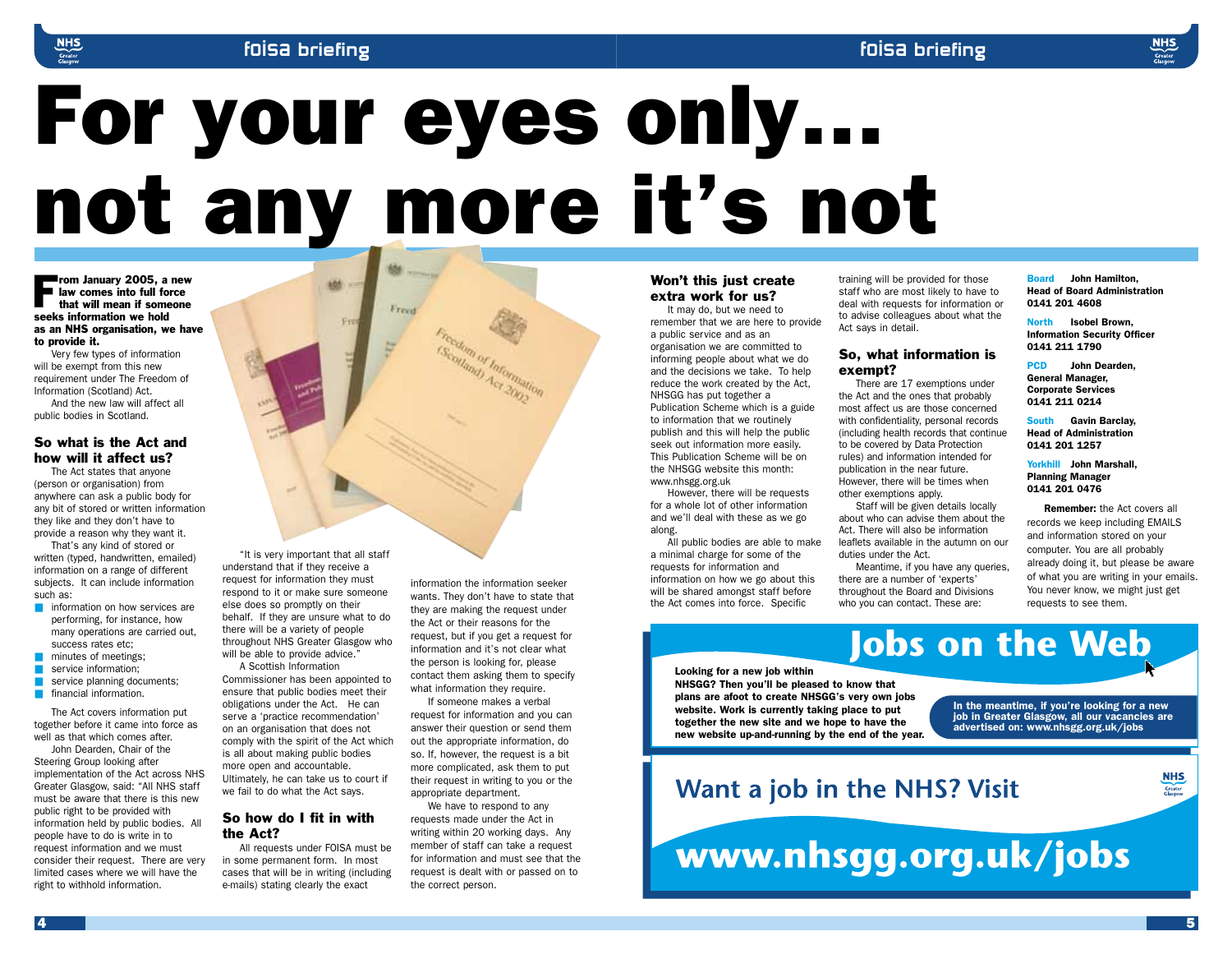# For your eyes only… not any more it's not

From January 2005, a new<br>
law comes into full force<br>
that will mean if someone<br>
seeks information we hold law comes into full force that will mean if someone seeks information we hold as an NHS organisation, we have to provide it.

Very few types of information will be exempt from this new requirement under The Freedom of Information (Scotland) Act.

And the new law will affect all public bodies in Scotland.

#### So what is the Act and how will it affect us?

The Act states that anyone (person or organisation) from anywhere can ask a public body for any bit of stored or written information they like and they don't have to provide a reason why they want it.

That's any kind of stored or written (typed, handwritten, emailed) information on a range of different subjects. It can include information such as:

- information on how services are performing, for instance, how many operations are carried out, success rates etc;
- minutes of meetings;
- service information;
- **B** service planning documents;
- **■** financial information.

The Act covers information put together before it came into force as well as that which comes after.

John Dearden, Chair of the Steering Group looking after implementation of the Act across NHS Greater Glasgow, said: "All NHS staff must be aware that there is this new public right to be provided with information held by public bodies. All people have to do is write in to request information and we must consider their request. There are very limited cases where we will have the right to withhold information.



understand that if they receive a request for information they must respond to it or make sure someone else does so promptly on their behalf. If they are unsure what to do there will be a variety of people throughout NHS Greater Glasgow who will be able to provide advice.'

A Scottish Information Commissioner has been appointed to ensure that public bodies meet their obligations under the Act. He can serve a 'practice recommendation' on an organisation that does not comply with the spirit of the Act which is all about making public bodies more open and accountable. Ultimately, he can take us to court if we fail to do what the Act says.

#### So how do I fit in with the Act?

All requests under FOISA must be in some permanent form. In most cases that will be in writing (including e-mails) stating clearly the exact

information the information seeker wants. They don't have to state that they are making the request under the Act or their reasons for the request, but if you get a request for information and it's not clear what the person is looking for, please contact them asking them to specify what information they require.

If someone makes a verbal request for information and you can answer their question or send them out the appropriate information, do so. If, however, the request is a bit more complicated, ask them to put their request in writing to you or the appropriate department.

We have to respond to any requests made under the Act in writing within 20 working days. Any member of staff can take a request for information and must see that the request is dealt with or passed on to the correct person.

### Won't this just create extra work for us?

It may do, but we need to remember that we are here to provide a public service and as an organisation we are committed to informing people about what we do and the decisions we take. To help reduce the work created by the Act, NHSGG has put together a Publication Scheme which is a guide to information that we routinely publish and this will help the public seek out information more easily. This Publication Scheme will be on the NHSGG website this month: www.nhsgg.org.uk

However, there will be requests for a whole lot of other information and we'll deal with these as we go along.

All public bodies are able to make a minimal charge for some of the requests for information and information on how we go about this will be shared amongst staff before the Act comes into force. Specific

training will be provided for those staff who are most likely to have to deal with requests for information or to advise colleagues about what the Act says in detail.

#### So, what information is exempt?

There are 17 exemptions under the Act and the ones that probably most affect us are those concerned with confidentiality, personal records (including health records that continue to be covered by Data Protection rules) and information intended for publication in the near future. However, there will be times when other exemptions apply.

Staff will be given details locally about who can advise them about the Act. There will also be information leaflets available in the autumn on our duties under the Act.

Meantime, if you have any queries, there are a number of 'experts' throughout the Board and Divisions who you can contact. These are:

*Board John Hamilton, Head of Board Administration 0141 201 4608*

*North Isobel Brown, Information Security Officer 0141 211 1790*

*PCD John Dearden, General Manager, Corporate Services 0141 211 0214*

*South Gavin Barclay, Head of Administration 0141 201 1257*

#### *Yorkhill John Marshall, Planning Manager 0141 201 0476*

*Remember:* the Act covers all records we keep including EMAILS and information stored on your computer. You are all probably already doing it, but please be aware of what you are writing in your emails. You never know, we might just get requests to see them.

*Looking for a new job within NHSGG? Then you'll be pleased to know that plans are afoot to create NHSGG's very own jobs website. Work is currently taking place to put together the new site and we hope to have the new website up-and-running by the end of the year.*

*In the meantime, if you're looking for a new*

**Jobs on the Web**

*job in Greater Glasgow, all our vacancies are advertised on: www.nhsgg.org.uk/jobs*

## Want a job in the NHS? Visit

www.nhsgg.org.uk/jobs

**NHS** 

Greater<br>Glasgow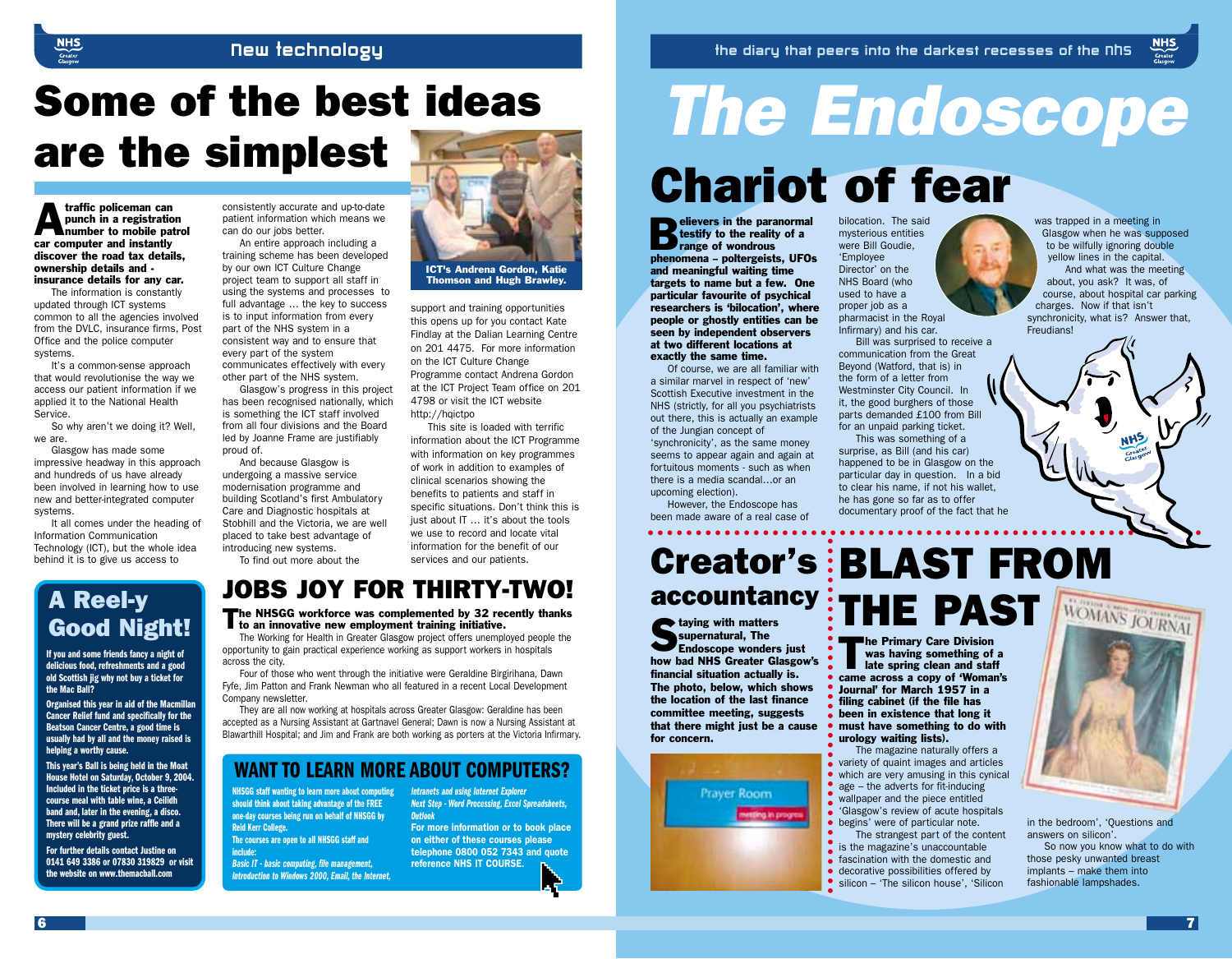### New Technology

# Some of the best ideas are the simplest

**Analytic policeman can<br>
punch in a registration<br>
number to mobile pa<br>
car computer and instantly** punch in a registration number to mobile patrol car computer and instantly discover the road tax details, ownership details and insurance details for any car.

The information is constantly updated through ICT systems common to all the agencies involved from the DVLC, insurance firms, Post Office and the police computer systems.

It's a common-sense approach that would revolutionise the way we access our patient information if we applied it to the National Health Service.

So why aren't we doing it? Well, we are.

Glasgow has made some impressive headway in this approach and hundreds of us have already been involved in learning how to use new and better-integrated computer systems.

It all comes under the heading of Information Communication Technology (ICT), but the whole idea behind it is to give us access to

consistently accurate and up-to-date patient information which means we can do our jobs better.

An entire approach including a training scheme has been developed by our own ICT Culture Change project team to support all staff in using the systems and processes to full advantage … the key to success is to input information from every part of the NHS system in a consistent way and to ensure that every part of the system communicates effectively with every other part of the NHS system.

Glasgow's progress in this project has been recognised nationally, which is something the ICT staff involved from all four divisions and the Board led by Joanne Frame are justifiably proud of.

And because Glasgow is undergoing a massive service modernisation programme and building Scotland's first Ambulatory Care and Diagnostic hospitals at Stobhill and the Victoria, we are well placed to take best advantage of introducing new systems. To find out more about the



support and training opportunities this opens up for you contact Kate Findlay at the Dalian Learning Centre on 201 4475. For more information on the ICT Culture Change Programme contact Andrena Gordon at the ICT Project Team office on 201 4798 or visit the ICT website http://haictpo

This site is loaded with terrific information about the ICT Programme with information on key programmes of work in addition to examples of clinical scenarios showing the benefits to patients and staff in specific situations. Don't think this is just about IT ... it's about the tools we use to record and locate vital information for the benefit of our services and our patients.

# Good Night!

**If you and some friends fancy a night of delicious food, refreshments and a good old Scottish jig why not buy a ticket for the Mac Ball?** 

**Organised this year in aid of the Macmillan Cancer Relief fund and specifically for the Beatson Cancer Centre, a good time is usually had by all and the money raised is helping a worthy cause.**

**This year's Ball is being held in the Moat House Hotel on Saturday, October 9, 2004. Included in the ticket price is a threecourse meal with table wine, a Ceilidh band and, later in the evening, a disco. There will be a grand prize raffle and a mystery celebrity guest.**

**For further details contact Justine on 0141 649 3386 or 07830 319829 or visit the website on www.themacball.com**

## JOBS JOY FOR THIRTY-TWO!

The NHSGG workforce was complemented by 32 recently thanks<br>to an innovative new employment training initiative.

The Working for Health in Greater Glasgow project offers unemployed people the opportunity to gain practical experience working as support workers in hospitals across the city.

Four of those who went through the initiative were Geraldine Birgirihana, Dawn Fyfe, Jim Patton and Frank Newman who all featured in a recent Local Development Company newsletter.

They are all now working at hospitals across Greater Glasgow: Geraldine has been accepted as a Nursing Assistant at Gartnavel General; Dawn is now a Nursing Assistant at Blawarthill Hospital; and Jim and Frank are both working as porters at the Victoria Infirmary.

### **WANT TO LEARN MORE ABOUT COMPUTERS?**

**NHSGG staff wanting to learn more about computing should think about taking advantage of the FREE one-day courses being run on behalf of NHSGG by Reid Kerr College. The courses are open to all NHSGG staff and include:**

*Basic IT - basic computing, file management, Introduction to Windows 2000, Email, the Internet,* *Intranets and using Internet Explorer Next Step - Word Processing, Excel Spreadsheets, Outlook*

*For more information or to book place on either of these courses please telephone 0800 052 7343 and quote reference NHS IT COURSE.*

# *The Endoscope* Chariot of fear

Elievers in the paranormal<br>testify to the reality of a<br>range of wondrous<br>phenomena – poltergeists, UEO testify to the reality of a range of wondrous phenomena – poltergeists, UFOs and meaningful waiting time targets to name but a few. One particular favourite of psychical researchers is 'bilocation', where people or ghostly entities can be seen by independent observers at two different locations at exactly the same time.

Of course, we are all familiar with a similar marvel in respect of 'new' Scottish Executive investment in the NHS (strictly, for all you psychiatrists out there, this is actually an example of the Jungian concept of 'synchronicity', as the same money seems to appear again and again at fortuitous moments - such as when

upcoming election). However, the Endoscope has been made aware of a real case of

there is a media scandal…or an

taying with matters<br>
supernatural, The<br>
Endoscope wonders<br>
have held NHS Creater Cl supernatural, The Endoscope wonders just how bad NHS Greater Glasgow's financial situation actually is. The photo, below, which shows the location of the last finance committee meeting, suggests that there might just be a cause for concern.



bilocation. The said mysterious entities were Bill Goudie, 'Employee Director' on the NHS Board (who used to have a proper job as a pharmacist in the Royal Infirmary) and his car.

Bill was surprised to receive a communication from the Great Beyond (Watford, that is) in the form of a letter from Westminster City Council. In it, the good burghers of those parts demanded £100 from Bill for an unpaid parking ticket.

This was something of a surprise, as Bill (and his car) happened to be in Glasgow on the particular day in question. In a bid to clear his name, if not his wallet, he has gone so far as to offer documentary proof of the fact that he

was trapped in a meeting in Glasgow when he was supposed to be wilfully ignoring double yellow lines in the capital. And what was the meeting about, you ask? It was, of course, about hospital car parking charges. Now if that isn't synchronicity, what is? Answer that, Freudians!

 $MHS$ 

Creator's BLAST FROM accountancy THE PAST A Reel-y

The Primary Care Division<br>was having something of<br>late spring clean and state<br>came across a conv of 'Woma was having something of a late spring clean and staff came across a copy of 'Woman's Journal' for March 1957 in a filing cabinet (if the file has been in existence that long it must have something to do with urology waiting lists).

The magazine naturally offers a variety of quaint images and articles which are very amusing in this cynical • age  $-$  the adverts for fit-inducing • wallpaper and the piece entitled 'Glasgow's review of acute hospitals begins' were of particular note.

- The strangest part of the content
- is the magazine's unaccountable
- **f** fascination with the domestic and
- decorative possibilities offered by
- silicon 'The silicon house', 'Silicon



in the bedroom', 'Questions and answers on silicon'.

So now you know what to do with those pesky unwanted breast implants – make them into fashionable lampshades.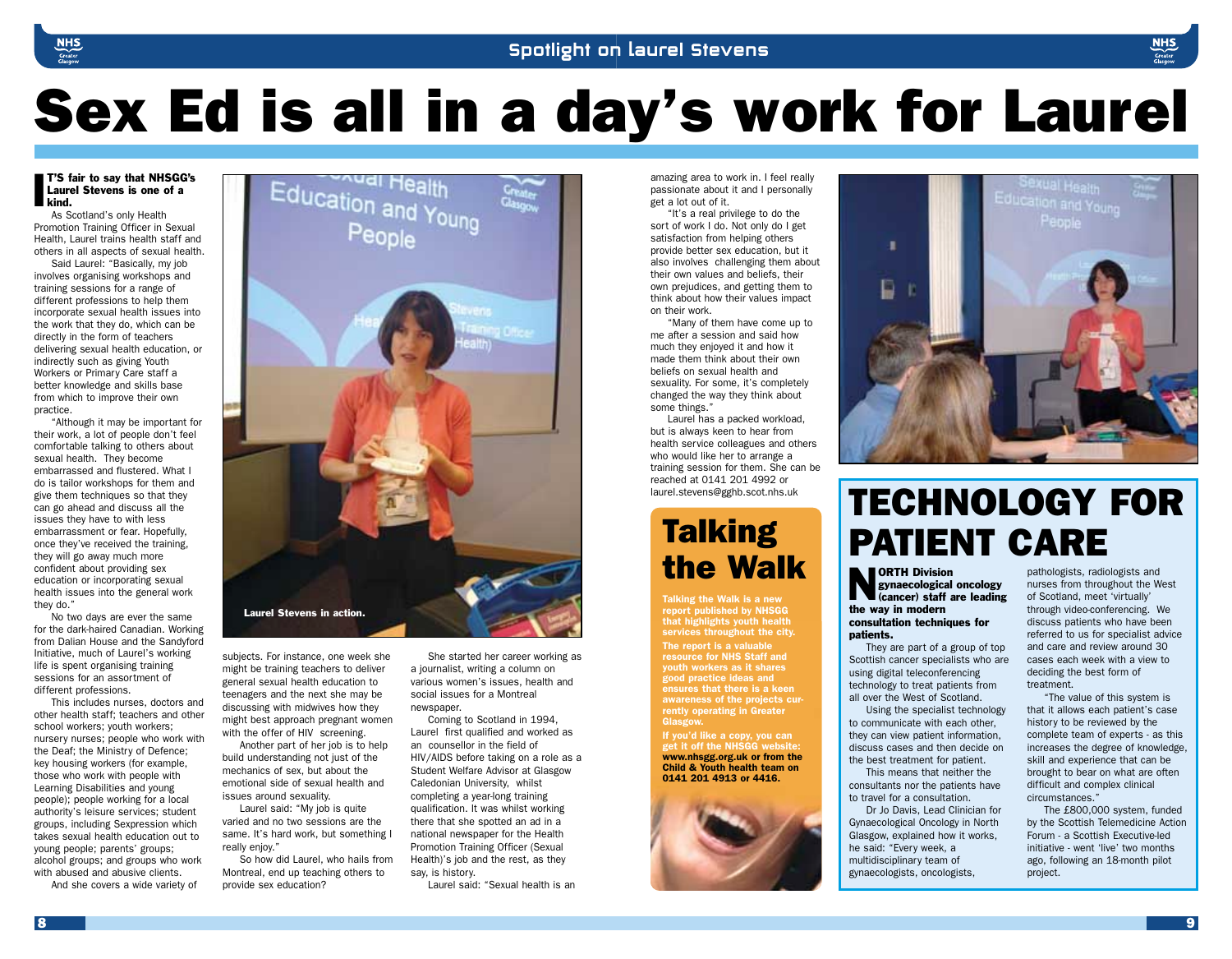# Sex Ed is all in a day's work for Laurel

#### $\frac{1}{5}$  Laure<br>kind. T'S fair to say that NHSGG's Laurel Stevens is one of a

As Scotland's only Health Promotion Training Officer in Sexual Health, Laurel trains health staff and others in all aspects of sexual health.

Said Laurel: "Basically, my job involves organising workshops and training sessions for a range of different professions to help them incorporate sexual health issues into the work that they do, which can be directly in the form of teachers delivering sexual health education, or indirectly such as giving Youth Workers or Primary Care staff a better knowledge and skills base from which to improve their own practice.

"Although it may be important for their work, a lot of people don't feel comfortable talking to others about sexual health. They become embarrassed and flustered. What I do is tailor workshops for them and give them techniques so that they can go ahead and discuss all the issues they have to with less embarrassment or fear. Hopefully, once they've received the training, they will go away much more confident about providing sex education or incorporating sexual health issues into the general work they do."

No two days are ever the same for the dark-haired Canadian. Working from Dalian House and the Sandyford Initiative, much of Laurel's working life is spent organising training sessions for an assortment of different professions.

This includes nurses, doctors and other health staff; teachers and other school workers; youth workers; nursery nurses; people who work with the Deaf; the Ministry of Defence; key housing workers (for example, those who work with people with Learning Disabilities and young people); people working for a local authority's leisure services; student groups, including Sexpression which takes sexual health education out to young people; parents' groups; alcohol groups; and groups who work with abused and abusive clients.

And she covers a wide variety of



subjects. For instance, one week she might be training teachers to deliver general sexual health education to teenagers and the next she may be discussing with midwives how they might best approach pregnant women with the offer of HIV screening.

Another part of her job is to help build understanding not just of the mechanics of sex, but about the emotional side of sexual health and issues around sexuality.

Laurel said: "My job is quite varied and no two sessions are the same. It's hard work, but something I really enjoy."

So how did Laurel, who hails from Montreal, end up teaching others to provide sex education?

She started her career working as a journalist, writing a column on various women's issues, health and social issues for a Montreal newspaper.

Coming to Scotland in 1994, Laurel first qualified and worked as an counsellor in the field of HIV/AIDS before taking on a role as a Student Welfare Advisor at Glasgow Caledonian University, whilst completing a year-long training qualification. It was whilst working there that she spotted an ad in a national newspaper for the Health Promotion Training Officer (Sexual Health)'s job and the rest, as they say, is history.

Laurel said: "Sexual health is an

amazing area to work in. I feel really passionate about it and I personally get a lot out of it.

"It's a real privilege to do the sort of work I do. Not only do I get satisfaction from helping others provide better sex education, but it also involves challenging them about their own values and beliefs, their own prejudices, and getting them to think about how their values impact on their work.

"Many of them have come up to me after a session and said how much they enjoyed it and how it made them think about their own beliefs on sexual health and sexuality. For some, it's completely changed the way they think about some things."

Laurel has a packed workload, but is always keen to hear from health service colleagues and others who would like her to arrange a training session for them. She can be reached at 0141 201 4992 or laurel.stevens@gghb.scot.nhs.uk

## **Talking** the Walk

*Talking the Walk is a new report published by NHSGG that highlights youth health services throughout the city. The report is a valuable resource for NHS Staff and youth workers as it shares good practice ideas and ensures that there is a keen awareness of the projects currently operating in Greater Glasgow.*

*If you'd like a copy, you can get it off the NHSGG website: www.nhsgg.org.uk or from the Child & Youth health team on 0141 201 4913 or 4416.*





## TECHNOLOGY FOR PATIENT CARE

**NORTH Division**<br>gynaecological<br>(cancer) staff a gynaecological oncology (cancer) staff are leading the way in modern consultation techniques for patients.

They are part of a group of top Scottish cancer specialists who are using digital teleconferencing technology to treat patients from all over the West of Scotland.

Using the specialist technology to communicate with each other, they can view patient information, discuss cases and then decide on the best treatment for patient.

This means that neither the consultants nor the patients have to travel for a consultation.

Dr Jo Davis, Lead Clinician for Gynaecological Oncology in North Glasgow, explained how it works, he said: "Every week, a multidisciplinary team of gynaecologists, oncologists,

pathologists, radiologists and nurses from throughout the West of Scotland, meet 'virtually' through video-conferencing. We discuss patients who have been referred to us for specialist advice and care and review around 30 cases each week with a view to deciding the best form of treatment.

"The value of this system is that it allows each patient's case history to be reviewed by the complete team of experts - as this increases the degree of knowledge, skill and experience that can be brought to bear on what are often difficult and complex clinical circumstances."

The £800,000 system, funded by the Scottish Telemedicine Action Forum - a Scottish Executive-led initiative - went 'live' two months ago, following an 18-month pilot project.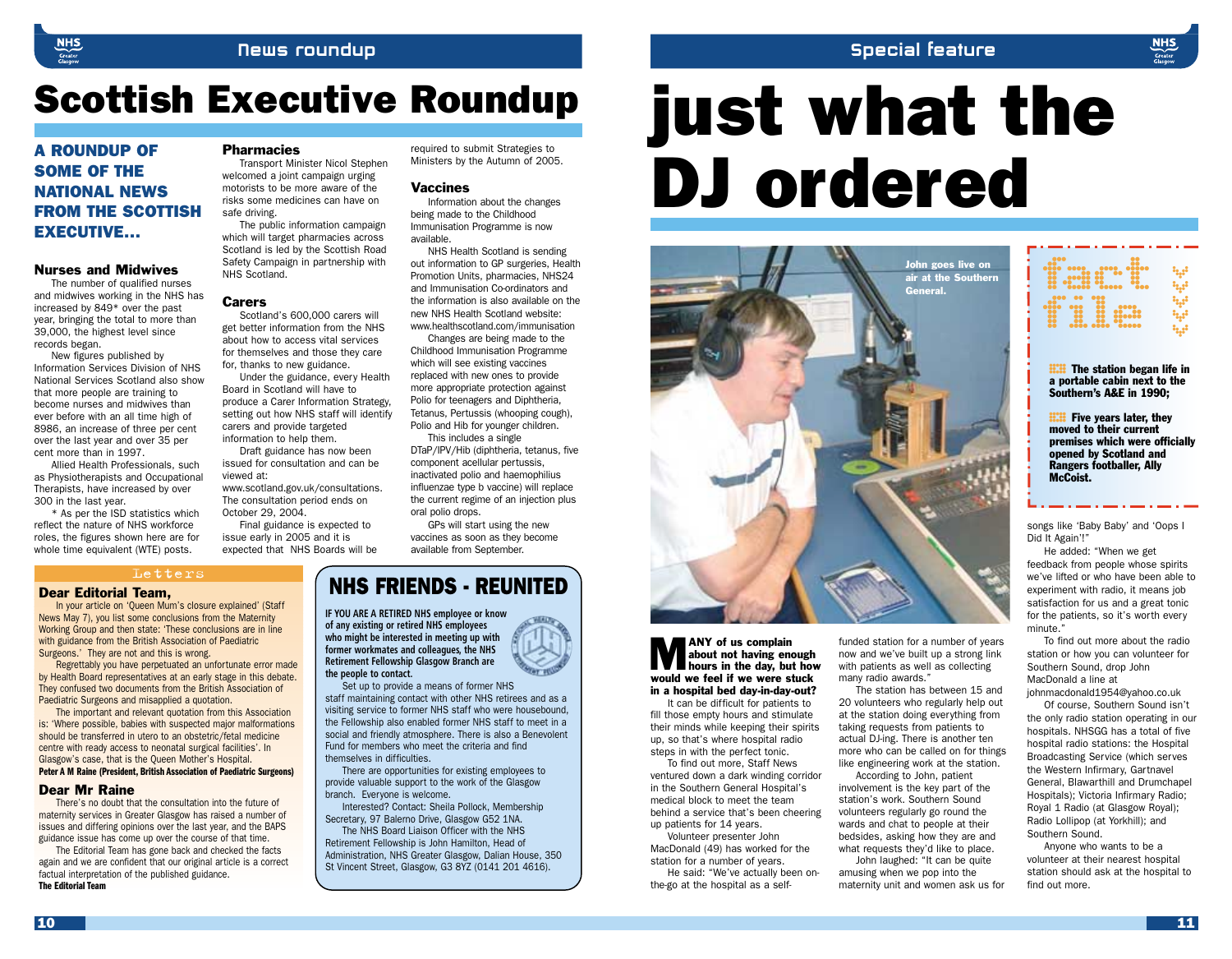### Special feature

## Scottish Executive Roundup

### A ROUNDUP OF SOME OF THE NATIONAL NEWS FROM THE SCOTTISH EXECUTIVE…

#### Nurses and Midwives

The number of qualified nurses and midwives working in the NHS has increased by 849\* over the past year, bringing the total to more than 39,000, the highest level since records began.

New figures published by Information Services Division of NHS National Services Scotland also show that more people are training to become nurses and midwives than ever before with an all time high of 8986, an increase of three per cent over the last year and over 35 per cent more than in 1997.

Allied Health Professionals, such as Physiotherapists and Occupational Therapists, have increased by over 300 in the last year.

\* As per the ISD statistics which reflect the nature of NHS workforce roles, the figures shown here are for whole time equivalent (WTE) posts.

#### **Pharmacies**

Transport Minister Nicol Stephen welcomed a joint campaign urging motorists to be more aware of the risks some medicines can have on safe driving.

The public information campaign which will target pharmacies across Scotland is led by the Scottish Road Safety Campaign in partnership with NHS Scotland.

#### **Carers**

Scotland's 600,000 carers will get better information from the NHS about how to access vital services for themselves and those they care for, thanks to new guidance.

Under the guidance, every Health Board in Scotland will have to produce a Carer Information Strategy, setting out how NHS staff will identify carers and provide targeted information to help them.

Draft guidance has now been issued for consultation and can be viewed at:

www.scotland.gov.uk/consultations. The consultation period ends on October 29, 2004.

Final guidance is expected to issue early in 2005 and it is expected that NHS Boards will be

#### required to submit Strategies to Ministers by the Autumn of 2005.

#### Vaccines

Information about the changes being made to the Childhood Immunisation Programme is now available.

NHS Health Scotland is sending out information to GP surgeries, Health Promotion Units, pharmacies, NHS24 and Immunisation Co-ordinators and the information is also available on the new NHS Health Scotland website: www.healthscotland.com/immunisation

Changes are being made to the Childhood Immunisation Programme which will see existing vaccines replaced with new ones to provide more appropriate protection against Polio for teenagers and Diphtheria, Tetanus, Pertussis (whooping cough), Polio and Hib for younger children.

This includes a single DTaP/IPV/Hib (diphtheria, tetanus, five component acellular pertussis, inactivated polio and haemophilius influenzae type b vaccine) will replace the current regime of an injection plus oral polio drops.

GPs will start using the new vaccines as soon as they become available from September.

In your article on 'Queen Mum's closure explained' (Staff News May 7), you list some conclusions from the Maternity Working Group and then state: 'These conclusions are in line with guidance from the British Association of Paediatric Surgeons.' They are not and this is wrong.

Letters

Regrettably you have perpetuated an unfortunate error made by Health Board representatives at an early stage in this debate. They confused two documents from the British Association of Paediatric Surgeons and misapplied a quotation.

The important and relevant quotation from this Association is: 'Where possible, babies with suspected major malformations should be transferred in utero to an obstetric/fetal medicine centre with ready access to neonatal surgical facilities'. In Glasgow's case, that is the Queen Mother's Hospital. **Peter A M Raine (President, British Association of Paediatric Surgeons)**

#### Dear Mr Raine

There's no doubt that the consultation into the future of maternity services in Greater Glasgow has raised a number of issues and differing opinions over the last year, and the BAPS guidance issue has come up over the course of that time.

The Editorial Team has gone back and checked the facts again and we are confident that our original article is a correct factual interpretation of the published guidance. **The Editorial Team**

### Dear Editorial Team, NHS FRIENDS - REUNITED

**IF YOU ARE A RETIRED NHS employee or know of any existing or retired NHS employees who might be interested in meeting up with former workmates and colleagues, the NHS Retirement Fellowship Glasgow Branch are the people to contact.**

Set up to provide a means of former NHS staff maintaining contact with other NHS retirees and as a visiting service to former NHS staff who were housebound, the Fellowship also enabled former NHS staff to meet in a social and friendly atmosphere. There is also a Benevolent Fund for members who meet the criteria and find themselves in difficulties.

There are opportunities for existing employees to provide valuable support to the work of the Glasgow branch. Everyone is welcome.

Interested? Contact: Sheila Pollock, Membership Secretary, 97 Balerno Drive, Glasgow G52 1NA.

The NHS Board Liaison Officer with the NHS Retirement Fellowship is John Hamilton, Head of Administration, NHS Greater Glasgow, Dalian House, 350 St Vincent Street, Glasgow, G3 8YZ (0141 201 4616).

# just what the DJ ordered



#### **MANY** of us complain<br>about not having enough<br>would we feel if we were stuck about not having enough hours in the day, but how in a hospital bed day-in-day-out?

It can be difficult for patients to fill those empty hours and stimulate their minds while keeping their spirits up, so that's where hospital radio steps in with the perfect tonic.

To find out more, Staff News ventured down a dark winding corridor in the Southern General Hospital's medical block to meet the team behind a service that's been cheering up patients for 14 years.

Volunteer presenter John MacDonald (49) has worked for the station for a number of years.

He said: "We've actually been onthe-go at the hospital as a selffunded station for a number of years now and we've built up a strong link with patients as well as collecting many radio awards."

The station has between 15 and 20 volunteers who regularly help out at the station doing everything from taking requests from patients to actual DJ-ing. There is another ten more who can be called on for things like engineering work at the station.

According to John, patient involvement is the key part of the station's work. Southern Sound volunteers regularly go round the wards and chat to people at their bedsides, asking how they are and what requests they'd like to place. John laughed: "It can be quite

amusing when we pop into the maternity unit and women ask us for

| $\begin{array}{ c c c c }\hline \text{1} & \text{0} & \text{0} & \text{0} & \text{0} & \text{0} & \text{0} & \text{0} & \text{0} & \text{0} & \text{0} & \text{0} & \text{0} & \text{0} & \text{0} & \text{0} & \text{0} & \text{0} & \text{0} & \text{0} & \text{0} & \text{0} & \text{0} & \text{0} & \text{0} & \text{0} & \text{0} & \text{0} & \text{0} & \text{0} & \text{0} & \text{0} & \text{0} & \text{0}$ |  |
|----------------------------------------------------------------------------------------------------------------------------------------------------------------------------------------------------------------------------------------------------------------------------------------------------------------------------------------------------------------------------------------------------------------------|--|
|                                                                                                                                                                                                                                                                                                                                                                                                                      |  |
| <b></b>                                                                                                                                                                                                                                                                                                                                                                                                              |  |
|                                                                                                                                                                                                                                                                                                                                                                                                                      |  |

**EXAMPLE STATION DEGRIPS IN The station began life in** a portable cabin next to the Southern's A&E in 1990;

**HH** Five years later, they<br>moved to their current<br>premises which were office moved to their current premises which were officially opened by Scotland and Rangers footballer, Ally McCoist.

songs like 'Baby Baby' and 'Oops I Did It Again'!"

He added: "When we get feedback from people whose spirits we've lifted or who have been able to experiment with radio, it means job satisfaction for us and a great tonic for the patients, so it's worth every minute."

To find out more about the radio station or how you can volunteer for Southern Sound, drop John MacDonald a line at

johnmacdonald1954@yahoo.co.uk Of course, Southern Sound isn't

the only radio station operating in our hospitals. NHSGG has a total of five hospital radio stations: the Hospital Broadcasting Service (which serves the Western Infirmary, Gartnavel General, Blawarthill and Drumchapel Hospitals); Victoria Infirmary Radio; Royal 1 Radio (at Glasgow Royal); Radio Lollipop (at Yorkhill); and Southern Sound.

Anyone who wants to be a volunteer at their nearest hospital station should ask at the hospital to find out more.

10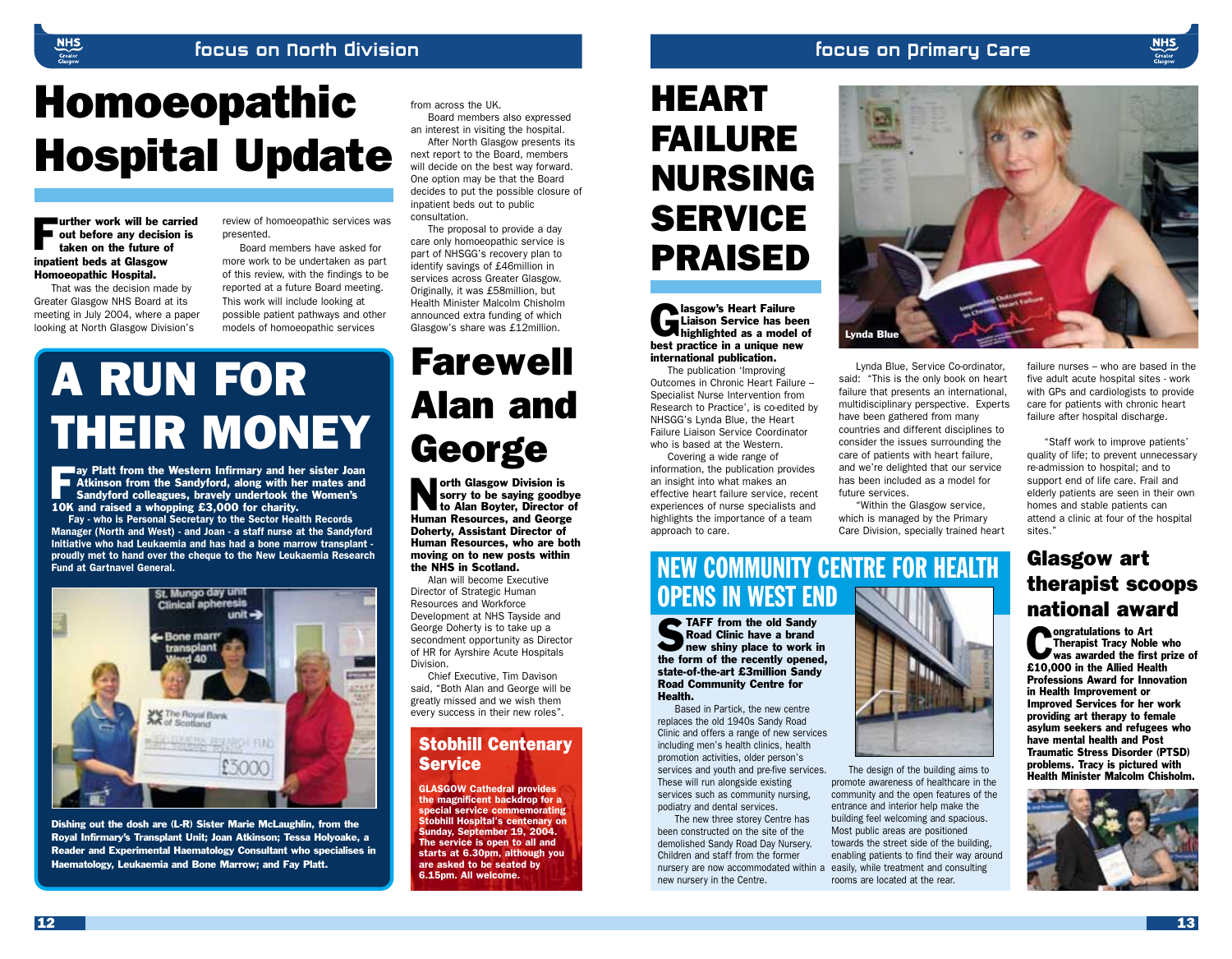### Focus on Primary Care

# Homoeopathic Hospital Update

**Further work will be carried**<br>out before any decision is<br>taken on the future of out before any decision is taken on the future of inpatient beds at Glasgow Homoeopathic Hospital.

That was the decision made by Greater Glasgow NHS Board at its meeting in July 2004, where a paper looking at North Glasgow Division's

review of homoeopathic services was presented.

Board members have asked for more work to be undertaken as part of this review, with the findings to be reported at a future Board meeting. This work will include looking at possible patient pathways and other models of homoeopathic services

# A RUN FOR THEIR MONEY

Fay Platt from the Western Infirmary and her sister Joan<br>
Sandyford colleagues, bravely undertook the Women's<br>
10K and raised a whopping £3,000 for charity **Atkinson from the Sandyford, along with her mates and** 10K and raised a whopping £3,000 for charity.

*Fay - who is Personal Secretary to the Sector Health Records Manager (North and West) - and Joan - a staff nurse at the Sandyford Initiative who had Leukaemia and has had a bone marrow transplant proudly met to hand over the cheque to the New Leukaemia Research Fund at Gartnavel General.*



Dishing out the dosh are (L-R) Sister Marie McLaughlin, from the Royal Infirmary's Transplant Unit; Joan Atkinson; Tessa Holyoake, a Reader and Experimental Haematology Consultant who specialises in Haematology, Leukaemia and Bone Marrow; and Fay Platt.

# Farewell Alan and **George**

from across the UK.

inpatient beds out to public

The proposal to provide a day care only homoeopathic service is part of NHSGG's recovery plan to identify savings of £46million in services across Greater Glasgow. Originally, it was £58million, but Health Minister Malcolm Chisholm announced extra funding of which Glasgow's share was £12million.

consultation.

Board members also expressed an interest in visiting the hospital. After North Glasgow presents its next report to the Board, members will decide on the best way forward. One option may be that the Board decides to put the possible closure of

orth Glasgow Division is<br>sorry to be saying good<br>to Alan Boyter, Director<br>Human Resources, and Georg sorry to be saying goodbye to Alan Boyter, Director of Human Resources, and George Doherty, Assistant Director of Human Resources, who are both moving on to new posts within the NHS in Scotland.

Alan will become Executive Director of Strategic Human Resources and Workforce Development at NHS Tayside and George Doherty is to take up a secondment opportunity as Director of HR for Ayrshire Acute Hospitals Division.

Chief Executive, Tim Davison said, "Both Alan and George will be greatly missed and we wish them every success in their new roles".

### Stobhill Centenary Service

*GLASGOW Cathedral provides the magnificent backdrop for a special service commemorating Stobhill Hospital's centenary on Sunday, September 19, 2004. The service is open to all and starts at 6.30pm, although you are asked to be seated by 6.15pm. All welcome.*

## HEART FAILURE NURSING **SERVICE** PRAISED

**Glasgow's Heart Failure<br>Liaison Service has be<br>heat practice in a unique negotial** Liaison Service has been highlighted as a model of best practice in a unique new international publication.

The publication 'Improving Outcomes in Chronic Heart Failure – Specialist Nurse Intervention from Research to Practice', is co-edited by NHSGG's Lynda Blue, the Heart Failure Liaison Service Coordinator who is based at the Western.

Covering a wide range of information, the publication provides an insight into what makes an effective heart failure service, recent experiences of nurse specialists and highlights the importance of a team approach to care.

## NEW COMMUNITY CENTRE FOR HEALTH **OPENS IN WEST END**

**STAFF** from the old Sandy<br>Road Clinic have a brand<br>new shiny place to work in<br>the form of the recently opened Road Clinic have a brand the form of the recently opened, state-of-the-art £3million Sandy Road Community Centre for Health.

Based in Partick, the new centre replaces the old 1940s Sandy Road Clinic and offers a range of new services including men's health clinics, health promotion activities, older person's services and youth and pre-five services. These will run alongside existing services such as community nursing, podiatry and dental services.

The new three storey Centre has been constructed on the site of the demolished Sandy Road Day Nursery. Children and staff from the former nursery are now accommodated within a new nursery in the Centre.



Lynda Blue, Service Co-ordinator, said: "This is the only book on heart failure that presents an international. multidisciplinary perspective. Experts have been gathered from many countries and different disciplines to consider the issues surrounding the care of patients with heart failure, and we're delighted that our service has been included as a model for future services.

"Within the Glasgow service, which is managed by the Primary Care Division, specially trained heart

The design of the building aims to promote awareness of healthcare in the community and the open features of the entrance and interior help make the building feel welcoming and spacious. Most public areas are positioned towards the street side of the building, enabling patients to find their way around easily, while treatment and consulting rooms are located at the rear.

attend a clinic at four of the hospital sites." Glasgow art therapist scoops

failure nurses – who are based in the five adult acute hospital sites - work with GPs and cardiologists to provide care for patients with chronic heart failure after hospital discharge.

"Staff work to improve patients' quality of life; to prevent unnecessary re-admission to hospital; and to support end of life care. Frail and elderly patients are seen in their own homes and stable patients can

# national award

**Congratulations to Art<br>Therapist Tracy Noble who**<br>was awarded the first prize of<br>\$10,000 in the Alliad Health Therapist Tracy Noble who £10,000 in the Allied Health Professions Award for Innovation in Health Improvement or Improved Services for her work providing art therapy to female asylum seekers and refugees who have mental health and Post Traumatic Stress Disorder (PTSD) problems. Tracy is pictured with Health Minister Malcolm Chisholm.



**NHS** 

12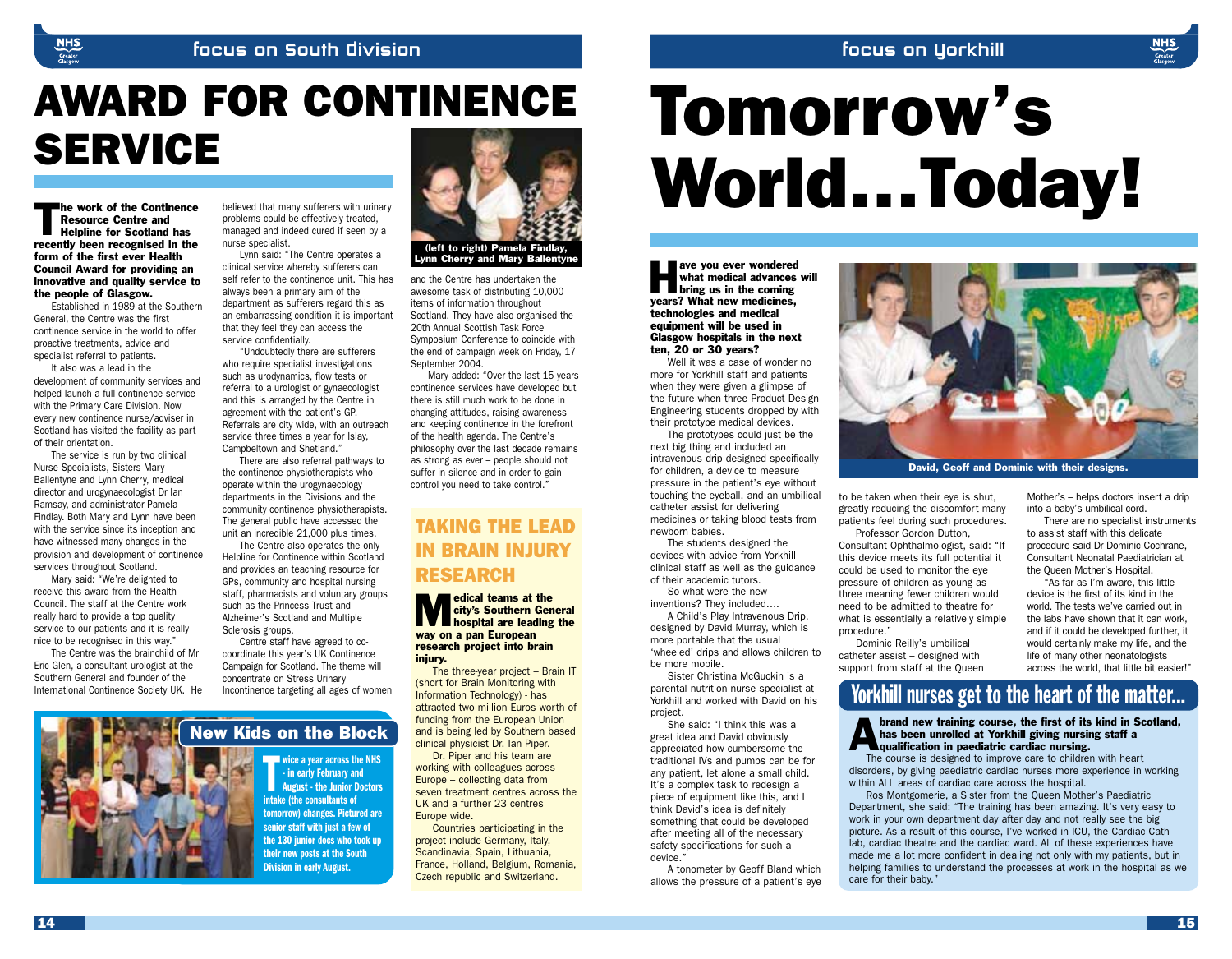### focus on yorkhill

### focus on South division

# AWARD FOR CONTINENCE AWARD FOR CONTINENCE<br>SERVICE<br>SERVICE

The work of the Continence<br>
Resource Centre and<br>
Helpline for Scotland has<br>
recently been recognised in the Resource Centre and recently been recognised in the form of the first ever Health Council Award for providing an innovative and quality service to the people of Glasgow.

Established in 1989 at the Southern General, the Centre was the first continence service in the world to offer proactive treatments, advice and specialist referral to patients.

It also was a lead in the development of community services and helped launch a full continence service with the Primary Care Division. Now every new continence nurse/adviser in Scotland has visited the facility as part of their orientation.

The service is run by two clinical Nurse Specialists, Sisters Mary Ballentyne and Lynn Cherry, medical director and urogynaecologist Dr Ian Ramsay, and administrator Pamela Findlay. Both Mary and Lynn have been with the service since its inception and have witnessed many changes in the provision and development of continence services throughout Scotland.

Mary said: "We're delighted to receive this award from the Health Council. The staff at the Centre work really hard to provide a top quality service to our patients and it is really nice to be recognised in this way."

The Centre was the brainchild of Mr Eric Glen, a consultant urologist at the Southern General and founder of the International Continence Society UK. He



believed that many sufferers with urinary problems could be effectively treated, managed and indeed cured if seen by a nurse specialist.

Lynn said: "The Centre operates a clinical service whereby sufferers can self refer to the continence unit. This has always been a primary aim of the department as sufferers regard this as an embarrassing condition it is important that they feel they can access the service confidentially.

"Undoubtedly there are sufferers who require specialist investigations such as urodynamics, flow tests or referral to a urologist or gynaecologist and this is arranged by the Centre in agreement with the patient's GP. Referrals are city wide, with an outreach service three times a year for Islay, Campbeltown and Shetland."

There are also referral pathways to the continence physiotherapists who operate within the urogynaecology departments in the Divisions and the community continence physiotherapists. The general public have accessed the unit an incredible 21,000 plus times.

The Centre also operates the only Helpline for Continence within Scotland and provides an teaching resource for GPs, community and hospital nursing staff, pharmacists and voluntary groups such as the Princess Trust and Alzheimer's Scotland and Multiple Sclerosis groups.

Centre staff have agreed to cocoordinate this year's UK Continence Campaign for Scotland. The theme will concentrate on Stress Urinary Incontinence targeting all ages of women



and the Centre has undertaken the awesome task of distributing 10,000 items of information throughout Scotland. They have also organised the 20th Annual Scottish Task Force Symposium Conference to coincide with the end of campaign week on Friday, 17 September 2004.

Mary added: "Over the last 15 years continence services have developed but there is still much work to be done in changing attitudes, raising awareness and keeping continence in the forefront of the health agenda. The Centre's philosophy over the last decade remains as strong as ever – people should not suffer in silence and in order to gain control you need to take control."

### TAKING THE LEAD IN BRAIN INJURY RESEARCH

edical teams at the<br>
city's Southern General<br>
hospital are leading the<br>
way on a nan Furonean city's Southern General way on a pan European research project into brain injury.

The three-year project – Brain IT (short for Brain Monitoring with Information Technology) - has attracted two million Euros worth of funding from the European Union and is being led by Southern based clinical physicist Dr. Ian Piper.

Dr. Piper and his team are working with colleagues across Europe – collecting data from seven treatment centres across the UK and a further 23 centres Europe wide.

Countries participating in the project include Germany, Italy, Scandinavia, Spain, Lithuania, France, Holland, Belgium, Romania, Czech republic and Switzerland.

World…Today!

ave you ever wondered<br>
what medical advances<br>
bring us in the coming<br>
vears? What new medicines what medical advances will years? What new medicines, technologies and medical equipment will be used in Glasgow hospitals in the next ten, 20 or 30 years?

Well it was a case of wonder no more for Yorkhill staff and patients when they were given a glimpse of the future when three Product Design Engineering students dropped by with their prototype medical devices.

The prototypes could just be the next big thing and included an intravenous drip designed specifically for children, a device to measure pressure in the patient's eye without touching the eyeball, and an umbilical catheter assist for delivering medicines or taking blood tests from newborn babies.

The students designed the devices with advice from Yorkhill clinical staff as well as the guidance of their academic tutors.

So what were the new inventions? They included….

A Child's Play Intravenous Drip, designed by David Murray, which is more portable that the usual 'wheeled' drips and allows children to be more mobile.

Sister Christina McGuckin is a parental nutrition nurse specialist at Yorkhill and worked with David on his project.

She said: "I think this was a great idea and David obviously appreciated how cumbersome the traditional IVs and pumps can be for any patient, let alone a small child. It's a complex task to redesign a piece of equipment like this, and I think David's idea is definitely something that could be developed after meeting all of the necessary safety specifications for such a device.

A tonometer by Geoff Bland which allows the pressure of a patient's eye



David, Geoff and Dominic with their designs.

to be taken when their eye is shut, greatly reducing the discomfort many patients feel during such procedures.

Professor Gordon Dutton, Consultant Ophthalmologist, said: "If this device meets its full potential it could be used to monitor the eye pressure of children as young as three meaning fewer children would need to be admitted to theatre for what is essentially a relatively simple procedure."

Dominic Reilly's umbilical catheter assist – designed with support from staff at the Queen Mother's – helps doctors insert a drip into a baby's umbilical cord.

There are no specialist instruments to assist staff with this delicate procedure said Dr Dominic Cochrane, Consultant Neonatal Paediatrician at the Queen Mother's Hospital.

"As far as I'm aware, this little device is the first of its kind in the world. The tests we've carried out in the labs have shown that it can work, and if it could be developed further, it would certainly make my life, and the life of many other neonatologists across the world, that little bit easier!"

## Yorkhill nurses get to the heart of the matter...

#### New Kids on the Block and is being led by Southern based<br>
and is being led by Southern based<br>
Dr. Piper and his team are<br>
Dr. Piper and his team are<br>
Dr. Piper and his team are<br>
Dr. Piper and his team are has been unrolled at Yorkhill giving nursing staff a **Transformation in paediatric cardiac nursing.**

The course is designed to improve care to children with heart disorders, by giving paediatric cardiac nurses more experience in working within ALL areas of cardiac care across the hospital.

Ros Montgomerie, a Sister from the Queen Mother's Paediatric Department, she said: "The training has been amazing. It's very easy to work in your own department day after day and not really see the big picture. As a result of this course, I've worked in ICU, the Cardiac Cath lab, cardiac theatre and the cardiac ward. All of these experiences have made me a lot more confident in dealing not only with my patients, but in helping families to understand the processes at work in the hospital as we care for their baby."